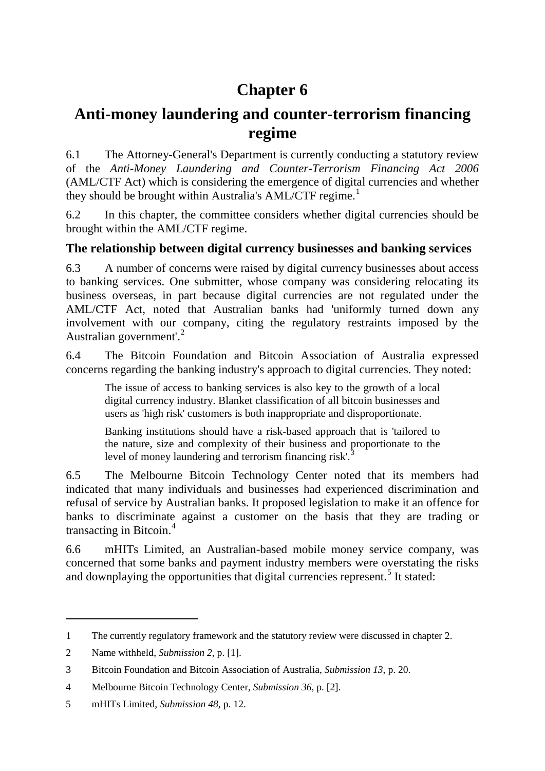# **Chapter 6**

## **Anti-money laundering and counter-terrorism financing regime**

6.1 The Attorney-General's Department is currently conducting a statutory review of the *Anti-Money Laundering and Counter-Terrorism Financing Act 2006*  (AML/CTF Act) which is considering the emergence of digital currencies and whether they should be brought within Australia's  $AML/CTF$  regime.<sup>[1](#page-0-0)</sup>

6.2 In this chapter, the committee considers whether digital currencies should be brought within the AML/CTF regime.

## **The relationship between digital currency businesses and banking services**

6.3 A number of concerns were raised by digital currency businesses about access to banking services. One submitter, whose company was considering relocating its business overseas, in part because digital currencies are not regulated under the AML/CTF Act, noted that Australian banks had 'uniformly turned down any involvement with our company, citing the regulatory restraints imposed by the Australian government'.<sup>[2](#page-0-1)</sup>

6.4 The Bitcoin Foundation and Bitcoin Association of Australia expressed concerns regarding the banking industry's approach to digital currencies. They noted:

The issue of access to banking services is also key to the growth of a local digital currency industry. Blanket classification of all bitcoin businesses and users as 'high risk' customers is both inappropriate and disproportionate.

Banking institutions should have a risk-based approach that is 'tailored to the nature, size and complexity of their business and proportionate to the level of money laundering and terrorism financing risk'.<sup>[3](#page-0-2)</sup>

6.5 The Melbourne Bitcoin Technology Center noted that its members had indicated that many individuals and businesses had experienced discrimination and refusal of service by Australian banks. It proposed legislation to make it an offence for banks to discriminate against a customer on the basis that they are trading or transacting in Bitcoin.[4](#page-0-3)

6.6 mHITs Limited, an Australian-based mobile money service company, was concerned that some banks and payment industry members were overstating the risks and downplaying the opportunities that digital currencies represent.<sup>[5](#page-0-4)</sup> It stated:

<span id="page-0-0"></span><sup>1</sup> The currently regulatory framework and the statutory review were discussed in chapter 2.

<span id="page-0-1"></span><sup>2</sup> Name withheld, *Submission 2*, p. [1].

<span id="page-0-2"></span><sup>3</sup> Bitcoin Foundation and Bitcoin Association of Australia, *Submission 13*, p. 20.

<span id="page-0-3"></span><sup>4</sup> Melbourne Bitcoin Technology Center, *Submission 36*, p. [2].

<span id="page-0-4"></span><sup>5</sup> mHITs Limited, *Submission 48*, p. 12.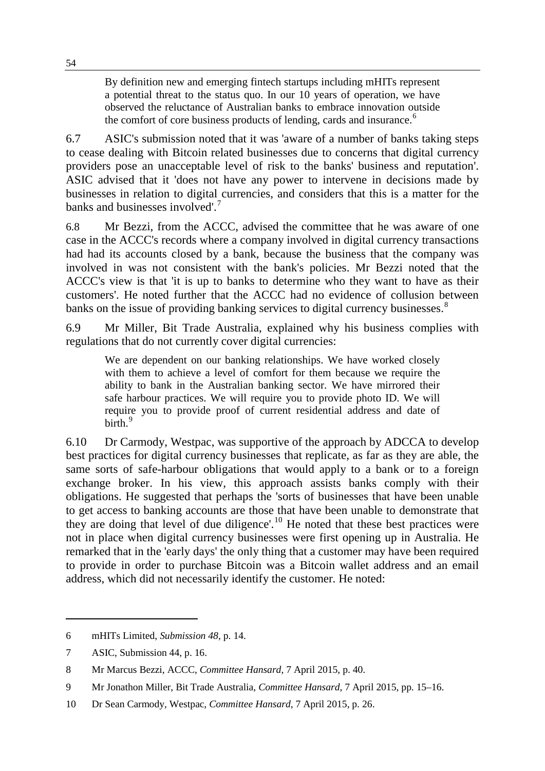By definition new and emerging fintech startups including mHITs represent a potential threat to the status quo. In our 10 years of operation, we have observed the reluctance of Australian banks to embrace innovation outside the comfort of core business products of lending, cards and insurance.<sup>[6](#page-1-0)</sup>

6.7 ASIC's submission noted that it was 'aware of a number of banks taking steps to cease dealing with Bitcoin related businesses due to concerns that digital currency providers pose an unacceptable level of risk to the banks' business and reputation'. ASIC advised that it 'does not have any power to intervene in decisions made by businesses in relation to digital currencies, and considers that this is a matter for the banks and businesses involved'.<sup>[7](#page-1-1)</sup>

6.8 Mr Bezzi, from the ACCC, advised the committee that he was aware of one case in the ACCC's records where a company involved in digital currency transactions had had its accounts closed by a bank, because the business that the company was involved in was not consistent with the bank's policies. Mr Bezzi noted that the ACCC's view is that 'it is up to banks to determine who they want to have as their customers'. He noted further that the ACCC had no evidence of collusion between banks on the issue of providing banking services to digital currency businesses.<sup>[8](#page-1-2)</sup>

6.9 Mr Miller, Bit Trade Australia, explained why his business complies with regulations that do not currently cover digital currencies:

We are dependent on our banking relationships. We have worked closely with them to achieve a level of comfort for them because we require the ability to bank in the Australian banking sector. We have mirrored their safe harbour practices. We will require you to provide photo ID. We will require you to provide proof of current residential address and date of birth.<sup>[9](#page-1-3)</sup>

6.10 Dr Carmody, Westpac, was supportive of the approach by ADCCA to develop best practices for digital currency businesses that replicate, as far as they are able, the same sorts of safe-harbour obligations that would apply to a bank or to a foreign exchange broker. In his view, this approach assists banks comply with their obligations. He suggested that perhaps the 'sorts of businesses that have been unable to get access to banking accounts are those that have been unable to demonstrate that they are doing that level of due diligence'.<sup>[10](#page-1-4)</sup> He noted that these best practices were not in place when digital currency businesses were first opening up in Australia. He remarked that in the 'early days' the only thing that a customer may have been required to provide in order to purchase Bitcoin was a Bitcoin wallet address and an email address, which did not necessarily identify the customer. He noted:

-

54

<span id="page-1-0"></span><sup>6</sup> mHITs Limited, *Submission 48*, p. 14.

<span id="page-1-1"></span><sup>7</sup> ASIC, Submission 44, p. 16.

<span id="page-1-2"></span><sup>8</sup> Mr Marcus Bezzi, ACCC, *Committee Hansard*, 7 April 2015, p. 40.

<span id="page-1-3"></span><sup>9</sup> Mr Jonathon Miller, Bit Trade Australia, *Committee Hansard*, 7 April 2015, pp. 15–16.

<span id="page-1-4"></span><sup>10</sup> Dr Sean Carmody, Westpac, *Committee Hansard*, 7 April 2015, p. 26.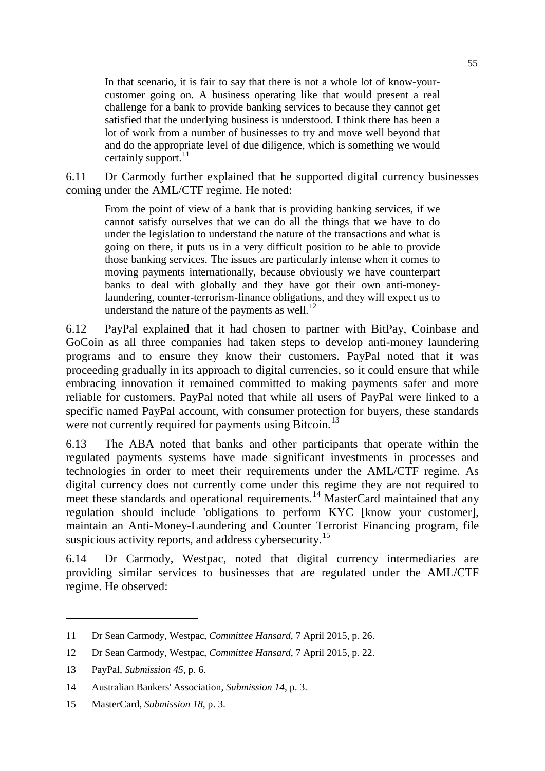In that scenario, it is fair to say that there is not a whole lot of know-yourcustomer going on. A business operating like that would present a real challenge for a bank to provide banking services to because they cannot get satisfied that the underlying business is understood. I think there has been a lot of work from a number of businesses to try and move well beyond that and do the appropriate level of due diligence, which is something we would certainly support. $^{11}$  $^{11}$  $^{11}$ 

6.11 Dr Carmody further explained that he supported digital currency businesses coming under the AML/CTF regime. He noted:

From the point of view of a bank that is providing banking services, if we cannot satisfy ourselves that we can do all the things that we have to do under the legislation to understand the nature of the transactions and what is going on there, it puts us in a very difficult position to be able to provide those banking services. The issues are particularly intense when it comes to moving payments internationally, because obviously we have counterpart banks to deal with globally and they have got their own anti-moneylaundering, counter-terrorism-finance obligations, and they will expect us to understand the nature of the payments as well. $^{12}$  $^{12}$  $^{12}$ 

6.12 PayPal explained that it had chosen to partner with BitPay, Coinbase and GoCoin as all three companies had taken steps to develop anti-money laundering programs and to ensure they know their customers. PayPal noted that it was proceeding gradually in its approach to digital currencies, so it could ensure that while embracing innovation it remained committed to making payments safer and more reliable for customers. PayPal noted that while all users of PayPal were linked to a specific named PayPal account, with consumer protection for buyers, these standards were not currently required for payments using Bitcoin.<sup>[13](#page-2-2)</sup>

6.13 The ABA noted that banks and other participants that operate within the regulated payments systems have made significant investments in processes and technologies in order to meet their requirements under the AML/CTF regime. As digital currency does not currently come under this regime they are not required to meet these standards and operational requirements.<sup>[14](#page-2-3)</sup> MasterCard maintained that any regulation should include 'obligations to perform KYC [know your customer], maintain an Anti-Money-Laundering and Counter Terrorist Financing program, file suspicious activity reports, and address cybersecurity.<sup>[15](#page-2-4)</sup>

6.14 Dr Carmody, Westpac, noted that digital currency intermediaries are providing similar services to businesses that are regulated under the AML/CTF regime. He observed:

<span id="page-2-0"></span><sup>11</sup> Dr Sean Carmody, Westpac, *Committee Hansard*, 7 April 2015, p. 26.

<span id="page-2-1"></span><sup>12</sup> Dr Sean Carmody, Westpac, *Committee Hansard*, 7 April 2015, p. 22.

<span id="page-2-2"></span><sup>13</sup> PayPal, *Submission 45,* p. 6.

<span id="page-2-3"></span><sup>14</sup> Australian Bankers' Association, *Submission 14*, p. 3.

<span id="page-2-4"></span><sup>15</sup> MasterCard, *Submission 18*, p. 3.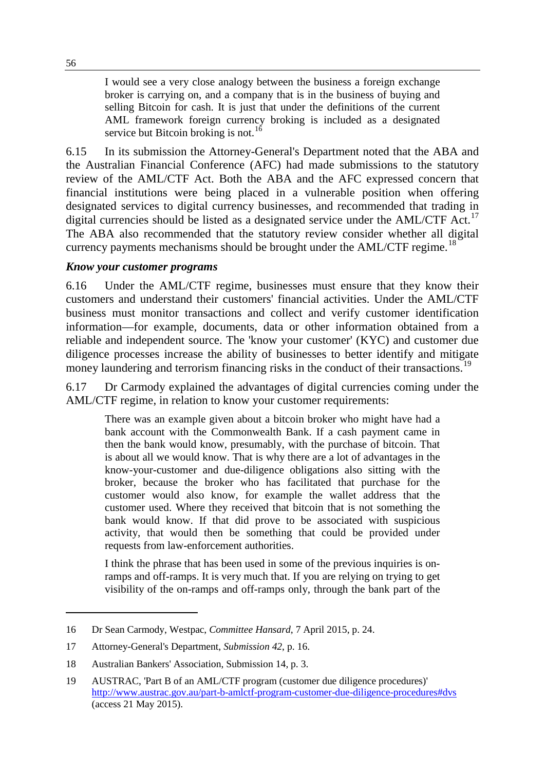I would see a very close analogy between the business a foreign exchange broker is carrying on, and a company that is in the business of buying and selling Bitcoin for cash. It is just that under the definitions of the current AML framework foreign currency broking is included as a designated service but Bitcoin broking is not.<sup>[16](#page-3-0)</sup>

6.15 In its submission the Attorney-General's Department noted that the ABA and the Australian Financial Conference (AFC) had made submissions to the statutory review of the AML/CTF Act. Both the ABA and the AFC expressed concern that financial institutions were being placed in a vulnerable position when offering designated services to digital currency businesses, and recommended that trading in digital currencies should be listed as a designated service under the  $AML/CTF$  Act.<sup>[17](#page-3-1)</sup> The ABA also recommended that the statutory review consider whether all digital currency payments mechanisms should be brought under the  $AML/CTF$  regime.<sup>[18](#page-3-2)</sup>

#### *Know your customer programs*

6.16 Under the AML/CTF regime, businesses must ensure that they know their customers and understand their customers' financial activities. Under the AML/CTF business must monitor transactions and collect and verify customer identification information—for example, documents, data or other information obtained from a reliable and independent source. The 'know your customer' (KYC) and customer due diligence processes increase the ability of businesses to better identify and mitigate money laundering and terrorism financing risks in the conduct of their transactions.<sup>[19](#page-3-3)</sup>

6.17 Dr Carmody explained the advantages of digital currencies coming under the AML/CTF regime, in relation to know your customer requirements:

There was an example given about a bitcoin broker who might have had a bank account with the Commonwealth Bank. If a cash payment came in then the bank would know, presumably, with the purchase of bitcoin. That is about all we would know. That is why there are a lot of advantages in the know-your-customer and due-diligence obligations also sitting with the broker, because the broker who has facilitated that purchase for the customer would also know, for example the wallet address that the customer used. Where they received that bitcoin that is not something the bank would know. If that did prove to be associated with suspicious activity, that would then be something that could be provided under requests from law-enforcement authorities.

I think the phrase that has been used in some of the previous inquiries is onramps and off-ramps. It is very much that. If you are relying on trying to get visibility of the on-ramps and off-ramps only, through the bank part of the

<span id="page-3-0"></span><sup>16</sup> Dr Sean Carmody, Westpac, *Committee Hansard*, 7 April 2015, p. 24.

<span id="page-3-1"></span><sup>17</sup> Attorney-General's Department, *Submission 42*, p. 16.

<span id="page-3-2"></span><sup>18</sup> Australian Bankers' Association, Submission 14, p. 3.

<span id="page-3-3"></span><sup>19</sup> AUSTRAC, 'Part B of an AML/CTF program (customer due diligence procedures)' [http://www.austrac.gov.au/part-b-amlctf-program-customer-due-diligence-procedures#dvs](http://www.austrac.gov.au/part-b-amlctf-program-customer-due-diligence-procedures%23dvs) (access 21 May 2015).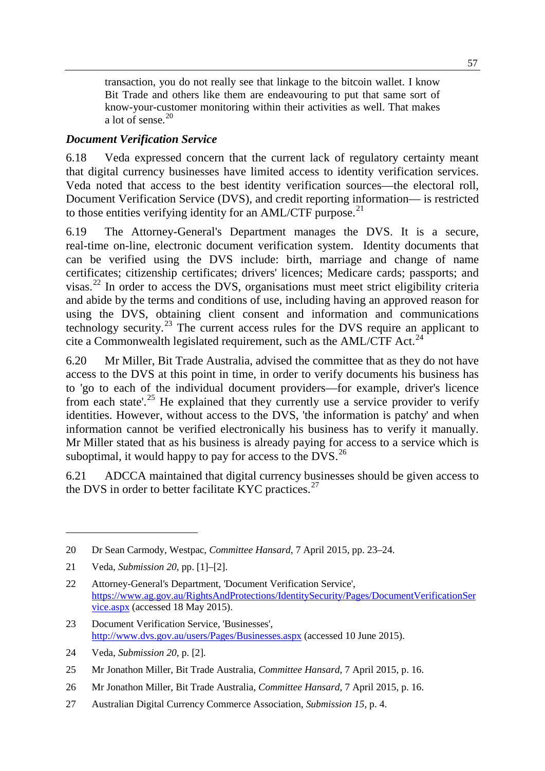transaction, you do not really see that linkage to the bitcoin wallet. I know Bit Trade and others like them are endeavouring to put that same sort of know-your-customer monitoring within their activities as well. That makes a lot of sense.<sup>[20](#page-4-0)</sup>

### *Document Verification Service*

6.18 Veda expressed concern that the current lack of regulatory certainty meant that digital currency businesses have limited access to identity verification services. Veda noted that access to the best identity verification sources—the electoral roll, Document Verification Service (DVS), and credit reporting information— is restricted to those entities verifying identity for an AML/CTF purpose.<sup>[21](#page-4-1)</sup>

6.19 The Attorney-General's Department manages the DVS. It is a secure, real-time on-line, electronic document verification system. Identity documents that can be verified using the DVS include: birth, marriage and change of name certificates; citizenship certificates; drivers' licences; Medicare cards; passports; and visas. [22](#page-4-2) In order to access the DVS, organisations must meet strict eligibility criteria and abide by the terms and conditions of use, including having an approved reason for using the DVS, obtaining client consent and information and communications technology security.<sup>[23](#page-4-3)</sup> The current access rules for the DVS require an applicant to cite a Commonwealth legislated requirement, such as the  $AML/CTF$  Act.<sup>[24](#page-4-4)</sup>

6.20 Mr Miller, Bit Trade Australia, advised the committee that as they do not have access to the DVS at this point in time, in order to verify documents his business has to 'go to each of the individual document providers—for example, driver's licence from each state'.<sup>[25](#page-4-5)</sup> He explained that they currently use a service provider to verify identities. However, without access to the DVS, 'the information is patchy' and when information cannot be verified electronically his business has to verify it manually. Mr Miller stated that as his business is already paying for access to a service which is suboptimal, it would happy to pay for access to the  $\overline{\text{DVS}}$ .<sup>[26](#page-4-6)</sup>

6.21 ADCCA maintained that digital currency businesses should be given access to the DVS in order to better facilitate KYC practices.<sup>[27](#page-4-7)</sup>

-

<span id="page-4-4"></span>24 Veda, *Submission 20*, p. [2].

- <span id="page-4-6"></span>26 Mr Jonathon Miller, Bit Trade Australia, *Committee Hansard*, 7 April 2015, p. 16.
- <span id="page-4-7"></span>27 Australian Digital Currency Commerce Association, *Submission 15*, p. 4.

<span id="page-4-0"></span><sup>20</sup> Dr Sean Carmody, Westpac, *Committee Hansard*, 7 April 2015, pp. 23–24.

<span id="page-4-1"></span><sup>21</sup> Veda, *Submission 20*, pp. [1]–[2].

<span id="page-4-2"></span><sup>22</sup> Attorney-General's Department, 'Document Verification Service', [https://www.ag.gov.au/RightsAndProtections/IdentitySecurity/Pages/DocumentVerificationSer](https://www.ag.gov.au/RightsAndProtections/IdentitySecurity/Pages/DocumentVerificationService.aspx) [vice.aspx](https://www.ag.gov.au/RightsAndProtections/IdentitySecurity/Pages/DocumentVerificationService.aspx) (accessed 18 May 2015).

<span id="page-4-3"></span><sup>23</sup> Document Verification Service, 'Businesses', <http://www.dvs.gov.au/users/Pages/Businesses.aspx> (accessed 10 June 2015).

<span id="page-4-5"></span><sup>25</sup> Mr Jonathon Miller, Bit Trade Australia, *Committee Hansard*, 7 April 2015, p. 16.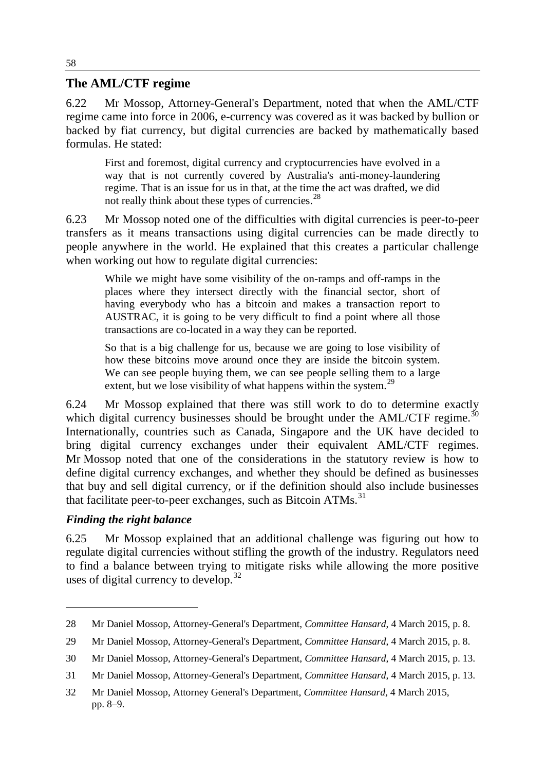#### **The AML/CTF regime**

6.22 Mr Mossop, Attorney-General's Department, noted that when the AML/CTF regime came into force in 2006, e-currency was covered as it was backed by bullion or backed by fiat currency, but digital currencies are backed by mathematically based formulas. He stated:

First and foremost, digital currency and cryptocurrencies have evolved in a way that is not currently covered by Australia's anti-money-laundering regime. That is an issue for us in that, at the time the act was drafted, we did not really think about these types of currencies.<sup>[28](#page-5-0)</sup>

6.23 Mr Mossop noted one of the difficulties with digital currencies is peer-to-peer transfers as it means transactions using digital currencies can be made directly to people anywhere in the world. He explained that this creates a particular challenge when working out how to regulate digital currencies:

While we might have some visibility of the on-ramps and off-ramps in the places where they intersect directly with the financial sector, short of having everybody who has a bitcoin and makes a transaction report to AUSTRAC, it is going to be very difficult to find a point where all those transactions are co-located in a way they can be reported.

So that is a big challenge for us, because we are going to lose visibility of how these bitcoins move around once they are inside the bitcoin system. We can see people buying them, we can see people selling them to a large extent, but we lose visibility of what happens within the system.<sup>[29](#page-5-1)</sup>

6.24 Mr Mossop explained that there was still work to do to determine exactly which digital currency businesses should be brought under the  $AML/CTF$  regime.<sup>[30](#page-5-2)</sup> Internationally, countries such as Canada, Singapore and the UK have decided to bring digital currency exchanges under their equivalent AML/CTF regimes. Mr Mossop noted that one of the considerations in the statutory review is how to define digital currency exchanges, and whether they should be defined as businesses that buy and sell digital currency, or if the definition should also include businesses that facilitate peer-to-peer exchanges, such as Bitcoin  $ATMs$ <sup>[31](#page-5-3)</sup>

#### *Finding the right balance*

-

6.25 Mr Mossop explained that an additional challenge was figuring out how to regulate digital currencies without stifling the growth of the industry. Regulators need to find a balance between trying to mitigate risks while allowing the more positive uses of digital currency to develop.<sup>[32](#page-5-4)</sup>

<span id="page-5-0"></span><sup>28</sup> Mr Daniel Mossop, Attorney-General's Department, *Committee Hansard*, 4 March 2015, p. 8.

<span id="page-5-1"></span><sup>29</sup> Mr Daniel Mossop, Attorney-General's Department, *Committee Hansard*, 4 March 2015, p. 8.

<span id="page-5-2"></span><sup>30</sup> Mr Daniel Mossop, Attorney-General's Department, *Committee Hansard*, 4 March 2015, p. 13.

<span id="page-5-3"></span><sup>31</sup> Mr Daniel Mossop, Attorney-General's Department, *Committee Hansard*, 4 March 2015, p. 13.

<span id="page-5-4"></span><sup>32</sup> Mr Daniel Mossop, Attorney General's Department, *Committee Hansard*, 4 March 2015, pp. 8–9.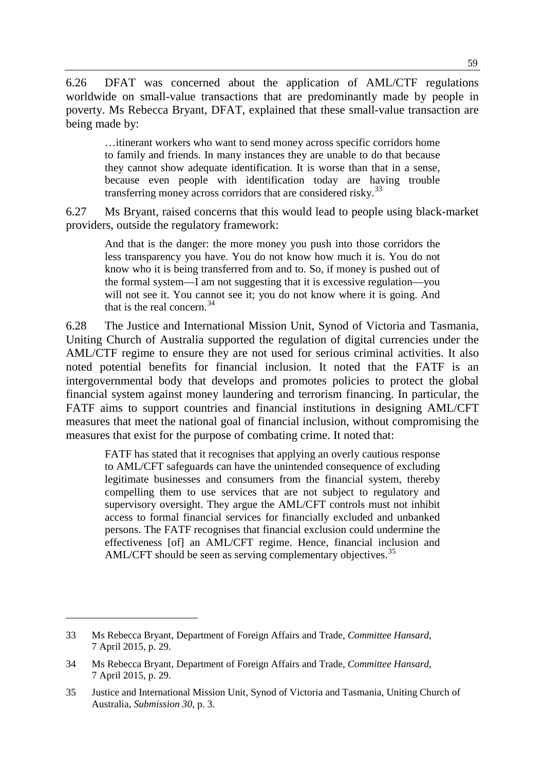6.26 DFAT was concerned about the application of AML/CTF regulations worldwide on small-value transactions that are predominantly made by people in poverty. Ms Rebecca Bryant, DFAT, explained that these small-value transaction are being made by:

…itinerant workers who want to send money across specific corridors home to family and friends. In many instances they are unable to do that because they cannot show adequate identification. It is worse than that in a sense, because even people with identification today are having trouble transferring money across corridors that are considered risky.<sup>[33](#page-6-0)</sup>

6.27 Ms Bryant, raised concerns that this would lead to people using black-market providers, outside the regulatory framework:

And that is the danger: the more money you push into those corridors the less transparency you have. You do not know how much it is. You do not know who it is being transferred from and to. So, if money is pushed out of the formal system—I am not suggesting that it is excessive regulation—you will not see it. You cannot see it; you do not know where it is going. And that is the real concern.[34](#page-6-1)

6.28 The Justice and International Mission Unit, Synod of Victoria and Tasmania, Uniting Church of Australia supported the regulation of digital currencies under the AML/CTF regime to ensure they are not used for serious criminal activities. It also noted potential benefits for financial inclusion. It noted that the FATF is an intergovernmental body that develops and promotes policies to protect the global financial system against money laundering and terrorism financing. In particular, the FATF aims to support countries and financial institutions in designing AML/CFT measures that meet the national goal of financial inclusion, without compromising the measures that exist for the purpose of combating crime. It noted that:

FATF has stated that it recognises that applying an overly cautious response to AML/CFT safeguards can have the unintended consequence of excluding legitimate businesses and consumers from the financial system, thereby compelling them to use services that are not subject to regulatory and supervisory oversight. They argue the AML/CFT controls must not inhibit access to formal financial services for financially excluded and unbanked persons. The FATF recognises that financial exclusion could undermine the effectiveness [of] an AML/CFT regime. Hence, financial inclusion and AML/CFT should be seen as serving complementary objectives.<sup>[35](#page-6-2)</sup>

<span id="page-6-0"></span><sup>33</sup> Ms Rebecca Bryant, Department of Foreign Affairs and Trade, *Committee Hansard*, 7 April 2015, p. 29.

<span id="page-6-1"></span><sup>34</sup> Ms Rebecca Bryant, Department of Foreign Affairs and Trade, *Committee Hansard*, 7 April 2015, p. 29.

<span id="page-6-2"></span><sup>35</sup> Justice and International Mission Unit, Synod of Victoria and Tasmania, Uniting Church of Australia, *Submission 30*, p. 3.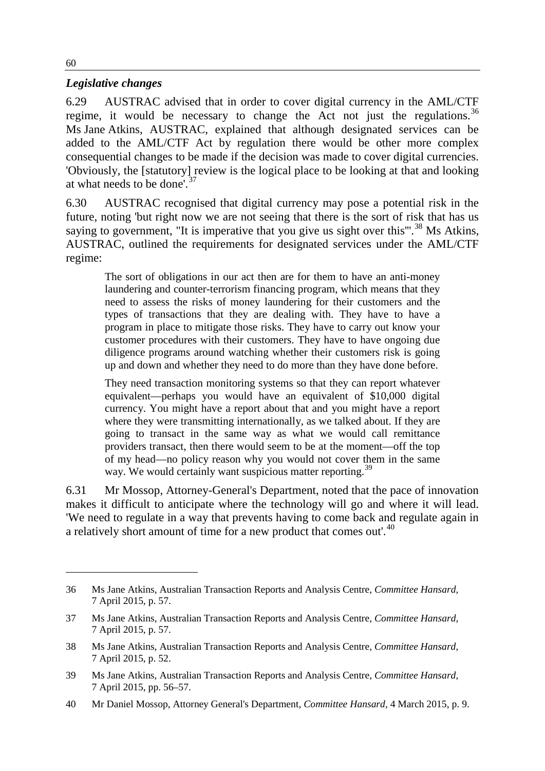#### *Legislative changes*

6.29 AUSTRAC advised that in order to cover digital currency in the AML/CTF regime, it would be necessary to change the Act not just the regulations.<sup>[36](#page-7-0)</sup> Ms Jane Atkins, AUSTRAC, explained that although designated services can be added to the AML/CTF Act by regulation there would be other more complex consequential changes to be made if the decision was made to cover digital currencies. 'Obviously, the [statutory] review is the logical place to be looking at that and looking at what needs to be done'.  $37$ 

6.30 AUSTRAC recognised that digital currency may pose a potential risk in the future, noting 'but right now we are not seeing that there is the sort of risk that has us saying to government, "It is imperative that you give us sight over this"<sup>[38](#page-7-2)</sup> Ms Atkins, AUSTRAC, outlined the requirements for designated services under the AML/CTF regime:

The sort of obligations in our act then are for them to have an anti-money laundering and counter-terrorism financing program, which means that they need to assess the risks of money laundering for their customers and the types of transactions that they are dealing with. They have to have a program in place to mitigate those risks. They have to carry out know your customer procedures with their customers. They have to have ongoing due diligence programs around watching whether their customers risk is going up and down and whether they need to do more than they have done before.

They need transaction monitoring systems so that they can report whatever equivalent—perhaps you would have an equivalent of \$10,000 digital currency. You might have a report about that and you might have a report where they were transmitting internationally, as we talked about. If they are going to transact in the same way as what we would call remittance providers transact, then there would seem to be at the moment—off the top of my head—no policy reason why you would not cover them in the same way. We would certainly want suspicious matter reporting.<sup>[39](#page-7-3)</sup>

6.31 Mr Mossop, Attorney-General's Department, noted that the pace of innovation makes it difficult to anticipate where the technology will go and where it will lead. 'We need to regulate in a way that prevents having to come back and regulate again in a relatively short amount of time for a new product that comes out'.<sup>[40](#page-7-4)</sup>

<span id="page-7-0"></span><sup>36</sup> Ms Jane Atkins, Australian Transaction Reports and Analysis Centre, *Committee Hansard*, 7 April 2015, p. 57.

<span id="page-7-1"></span><sup>37</sup> Ms Jane Atkins, Australian Transaction Reports and Analysis Centre, *Committee Hansard*, 7 April 2015, p. 57.

<span id="page-7-2"></span><sup>38</sup> Ms Jane Atkins, Australian Transaction Reports and Analysis Centre, *Committee Hansard*, 7 April 2015, p. 52.

<span id="page-7-3"></span><sup>39</sup> Ms Jane Atkins, Australian Transaction Reports and Analysis Centre, *Committee Hansard*, 7 April 2015, pp. 56–57.

<span id="page-7-4"></span><sup>40</sup> Mr Daniel Mossop, Attorney General's Department, *Committee Hansard*, 4 March 2015, p. 9.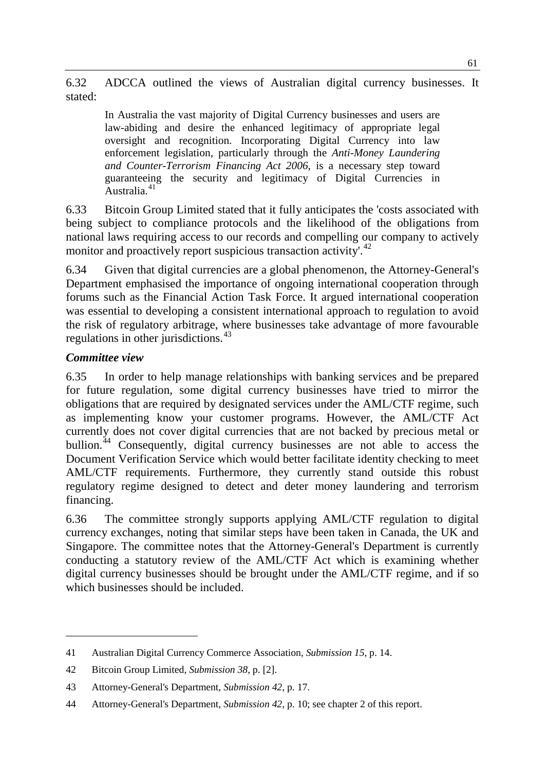6.32 ADCCA outlined the views of Australian digital currency businesses. It stated:

In Australia the vast majority of Digital Currency businesses and users are law-abiding and desire the enhanced legitimacy of appropriate legal oversight and recognition. Incorporating Digital Currency into law enforcement legislation, particularly through the *Anti-Money Laundering and Counter-Terrorism Financing Act 2006*, is a necessary step toward guaranteeing the security and legitimacy of Digital Currencies in Australia $41$ 

6.33 Bitcoin Group Limited stated that it fully anticipates the 'costs associated with being subject to compliance protocols and the likelihood of the obligations from national laws requiring access to our records and compelling our company to actively monitor and proactively report suspicious transaction activity'.<sup>[42](#page-8-1)</sup>

6.34 Given that digital currencies are a global phenomenon, the Attorney-General's Department emphasised the importance of ongoing international cooperation through forums such as the Financial Action Task Force. It argued international cooperation was essential to developing a consistent international approach to regulation to avoid the risk of regulatory arbitrage, where businesses take advantage of more favourable regulations in other jurisdictions.<sup>[43](#page-8-2)</sup>

#### *Committee view*

-

6.35 In order to help manage relationships with banking services and be prepared for future regulation, some digital currency businesses have tried to mirror the obligations that are required by designated services under the AML/CTF regime, such as implementing know your customer programs. However, the AML/CTF Act currently does not cover digital currencies that are not backed by precious metal or bullion.<sup>[44](#page-8-3)</sup> Consequently, digital currency businesses are not able to access the Document Verification Service which would better facilitate identity checking to meet AML/CTF requirements. Furthermore, they currently stand outside this robust regulatory regime designed to detect and deter money laundering and terrorism financing.

6.36 The committee strongly supports applying AML/CTF regulation to digital currency exchanges, noting that similar steps have been taken in Canada, the UK and Singapore. The committee notes that the Attorney-General's Department is currently conducting a statutory review of the AML/CTF Act which is examining whether digital currency businesses should be brought under the AML/CTF regime, and if so which businesses should be included.

<span id="page-8-0"></span><sup>41</sup> Australian Digital Currency Commerce Association, *Submission 15*, p. 14.

<span id="page-8-1"></span><sup>42</sup> Bitcoin Group Limited, *Submission 38*, p. [2].

<span id="page-8-2"></span><sup>43</sup> Attorney-General's Department, *Submission 42*, p. 17.

<span id="page-8-3"></span><sup>44</sup> Attorney-General's Department, *Submission 42*, p. 10; see chapter 2 of this report.